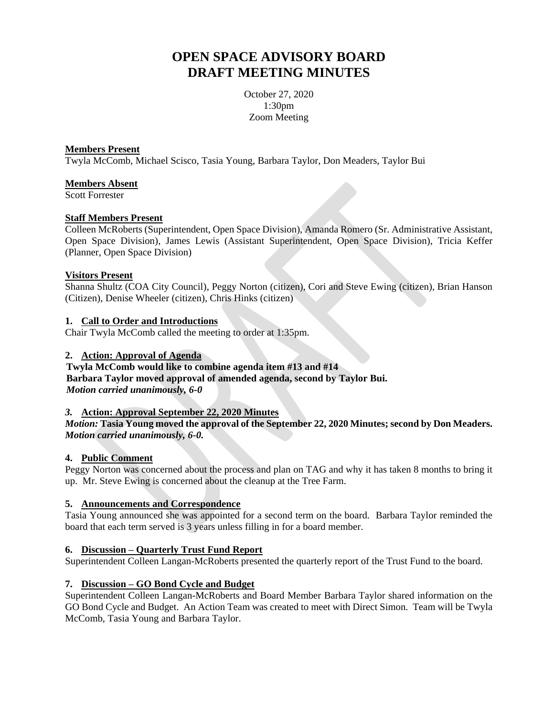# **OPEN SPACE ADVISORY BOARD DRAFT MEETING MINUTES**

October 27, 2020 1:30pm Zoom Meeting

#### **Members Present**

Twyla McComb, Michael Scisco, Tasia Young, Barbara Taylor, Don Meaders, Taylor Bui

#### **Members Absent**

Scott Forrester

#### **Staff Members Present**

Colleen McRoberts (Superintendent, Open Space Division), Amanda Romero (Sr. Administrative Assistant, Open Space Division), James Lewis (Assistant Superintendent, Open Space Division), Tricia Keffer (Planner, Open Space Division)

#### **Visitors Present**

Shanna Shultz (COA City Council), Peggy Norton (citizen), Cori and Steve Ewing (citizen), Brian Hanson (Citizen), Denise Wheeler (citizen), Chris Hinks (citizen)

#### **1. Call to Order and Introductions**

Chair Twyla McComb called the meeting to order at 1:35pm.

#### **2. Action: Approval of Agenda**

# **Twyla McComb would like to combine agenda item #13 and #14 Barbara Taylor moved approval of amended agenda, second by Taylor Bui.** *Motion carried unanimously, 6-0*

#### *3.* **Action: Approval September 22, 2020 Minutes**

## *Motion:* **Tasia Young moved the approval of the September 22, 2020 Minutes; second by Don Meaders.** *Motion carried unanimously, 6-0.*

## **4. Public Comment**

Peggy Norton was concerned about the process and plan on TAG and why it has taken 8 months to bring it up. Mr. Steve Ewing is concerned about the cleanup at the Tree Farm.

## **5. Announcements and Correspondence**

Tasia Young announced she was appointed for a second term on the board. Barbara Taylor reminded the board that each term served is 3 years unless filling in for a board member.

## **6. Discussion – Quarterly Trust Fund Report**

Superintendent Colleen Langan-McRoberts presented the quarterly report of the Trust Fund to the board.

## **7. Discussion – GO Bond Cycle and Budget**

Superintendent Colleen Langan-McRoberts and Board Member Barbara Taylor shared information on the GO Bond Cycle and Budget. An Action Team was created to meet with Direct Simon. Team will be Twyla McComb, Tasia Young and Barbara Taylor.